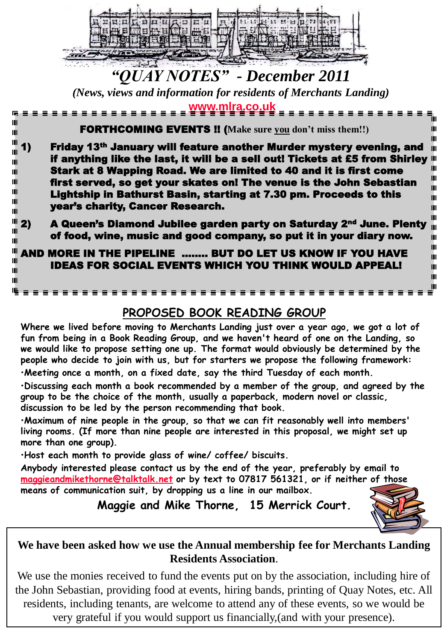

# *"QUAY NOTES" - December 2011*

*(News, views and information for residents of Merchants Landing)* **[www.mlra.co.uk](http://www.mlra.co.uk/)**

| Ш<br>Ш                                                        | <b>FORTHCOMING EVENTS !!</b> (Make sure you don't miss them!!)<br>Ш                                                                                                                                                                                                                                                                                                                                                                            |
|---------------------------------------------------------------|------------------------------------------------------------------------------------------------------------------------------------------------------------------------------------------------------------------------------------------------------------------------------------------------------------------------------------------------------------------------------------------------------------------------------------------------|
| $^{\prime\prime\prime}$ 11<br>Ш<br>Ш<br>Ш<br>Ш<br>Ш<br>Ш<br>Ш | Friday 13th January will feature another Murder mystery evening, and<br>ш<br>if anything like the last, it will be a sell out! Tickets at £5 from Shirley III<br>Ш<br>Stark at 8 Wapping Road. We are limited to 40 and it is first come<br>Ш<br>first served, so get your skates on! The venue is the John Sebastian<br>Ш<br>Lightship in Bathurst Basin, starting at 7.30 pm. Proceeds to this<br>Ш<br>year's charity, Cancer Research.<br>Ш |
| $  $ 2)<br>Ш<br>ш                                             | Ш<br>A Queen's Diamond Jubilee garden party on Saturday 2 <sup>nd</sup> June. Plenty<br>Ш<br>of food, wine, music and good company, so put it in your diary now.<br>Ш                                                                                                                                                                                                                                                                          |
| Ш<br>Ш<br>Ш                                                   | Ш<br>AND MORE IN THE PIPELINE  BUT DO LET US KNOW IF YOU HAVE<br>Ш<br><b>IDEAS FOR SOCIAL EVENTS WHICH YOU THINK WOULD APPEAL!</b><br>Ш<br>Ш                                                                                                                                                                                                                                                                                                   |
|                                                               |                                                                                                                                                                                                                                                                                                                                                                                                                                                |

## **PROPOSED BOOK READING GROUP**

**Where we lived before moving to Merchants Landing just over a year ago, we got a lot of fun from being in a Book Reading Group, and we haven't heard of one on the Landing, so we would like to propose setting one up. The format would obviously be determined by the people who decide to join with us, but for starters we propose the following framework:**

•**Meeting once a month, on a fixed date, say the third Tuesday of each month.**

•**Discussing each month a book recommended by a member of the group, and agreed by the group to be the choice of the month, usually a paperback, modern novel or classic, discussion to be led by the person recommending that book.**

•**Maximum of nine people in the group, so that we can fit reasonably well into members' living rooms. (If more than nine people are interested in this proposal, we might set up more than one group).**

•**Host each month to provide glass of wine/ coffee/ biscuits.**

**Anybody interested please contact us by the end of the year, preferably by email to [maggieandmikethorne@talktalk.net](mailto:maggieandmikethorne@talktalk.net) or by text to 07817 561321, or if neither of those means of communication suit, by dropping us a line in our mailbox.**

**Maggie and Mike Thorne, 15 Merrick Court.**



### **We have been asked how we use the Annual membership fee for Merchants Landing Residents Association**.

We use the monies received to fund the events put on by the association, including hire of the John Sebastian, providing food at events, hiring bands, printing of Quay Notes, etc. All residents, including tenants, are welcome to attend any of these events, so we would be very grateful if you would support us financially,(and with your presence).